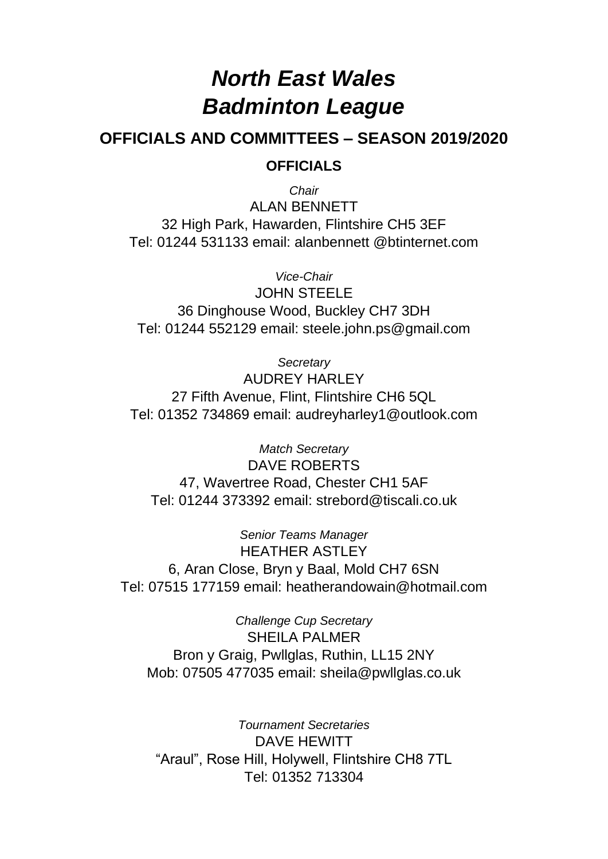# *North East Wales Badminton League*

# **OFFICIALS AND COMMITTEES – SEASON 2019/2020 OFFICIALS**

*Chair* ALAN BENNETT 32 High Park, Hawarden, Flintshire CH5 3EF Tel: 01244 531133 email: alanbennett @btinternet.com

*Vice-Chair* JOHN STEELE 36 Dinghouse Wood, Buckley CH7 3DH

Tel: 01244 552129 email: steele.john.ps@gmail.com

*Secretary* AUDREY HARLEY 27 Fifth Avenue, Flint, Flintshire CH6 5QL Tel: 01352 734869 email: [audreyharley1@outlook.com](mailto:audreyharley1@outlook.com)

*Match Secretary* DAVE ROBERTS 47, Wavertree Road, Chester CH1 5AF Tel: 01244 373392 email: [strebord@tiscali.co.uk](mailto:strebord@tiscali.co.uk)

*Senior Teams Manager* HEATHER ASTLEY 6, Aran Close, Bryn y Baal, Mold CH7 6SN Tel: 07515 177159 email: [heatherandowain@hotmail.com](mailto:heatherandowain@hotmail.com)

*Challenge Cup Secretary* SHEILA PALMER Bron y Graig, Pwllglas, Ruthin, LL15 2NY Mob: 07505 477035 email: sheila@pwllglas.co.uk

*Tournament Secretaries* DAVE HEWITT "Araul", Rose Hill, Holywell, Flintshire CH8 7TL Tel: 01352 713304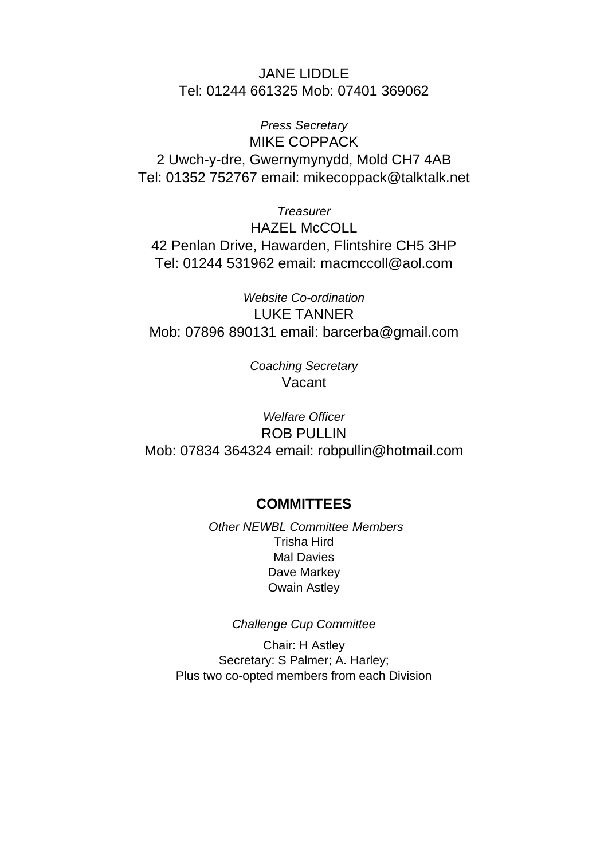JANE LIDDLE Tel: 01244 661325 Mob: 07401 369062

*Press Secretary* MIKE COPPACK 2 Uwch-y-dre, Gwernymynydd, Mold CH7 4AB Tel: 01352 752767 email: [mikecoppack@talktalk.net](mailto:mikecoppack@talktalk.net)

*Treasurer* HAZEL McCOLL 42 Penlan Drive, Hawarden, Flintshire CH5 3HP Tel: 01244 531962 email: [macmccoll@aol.com](mailto:macmccoll@aol.com)

*Website Co-ordination* LUKE TANNER Mob: 07896 890131 email: [barcerba@gmail.com](mailto:barcerba@gmail.com)

> *Coaching Secretary* Vacant

*Welfare Officer* ROB PULLIN Mob: 07834 364324 email: [robpullin@hotmail.com](mailto:robpullin@hotmail.com)

# **COMMITTEES**

*Other NEWBL Committee Members* Trisha Hird Mal Davies Dave Markey Owain Astley

*Challenge Cup Committee*

Chair: H Astley Secretary: S Palmer; A. Harley; Plus two co-opted members from each Division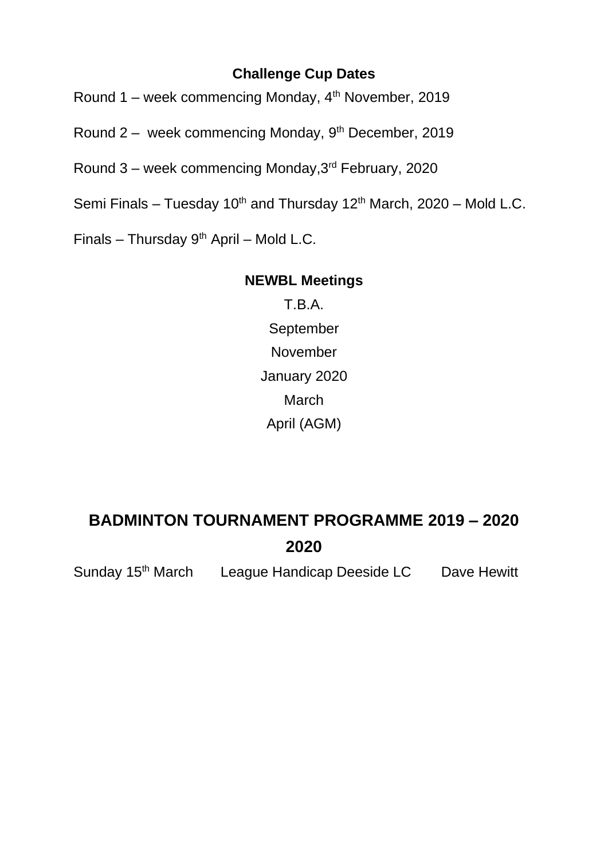# **Challenge Cup Dates**

Round 1 – week commencing Monday,  $4<sup>th</sup>$  November, 2019

Round 2 – week commencing Monday, 9th December, 2019

Round 3 – week commencing Monday,3rd February, 2020

Semi Finals – Tuesday  $10^{th}$  and Thursday  $12^{th}$  March,  $2020$  – Mold L.C.

Finals – Thursday  $9<sup>th</sup>$  April – Mold L.C.

# **NEWBL Meetings**

T.B.A. **September** November January 2020 **March** April (AGM)

# **BADMINTON TOURNAMENT PROGRAMME 2019 – 2020 2020**

Sunday 15<sup>th</sup> March League Handicap Deeside LC Dave Hewitt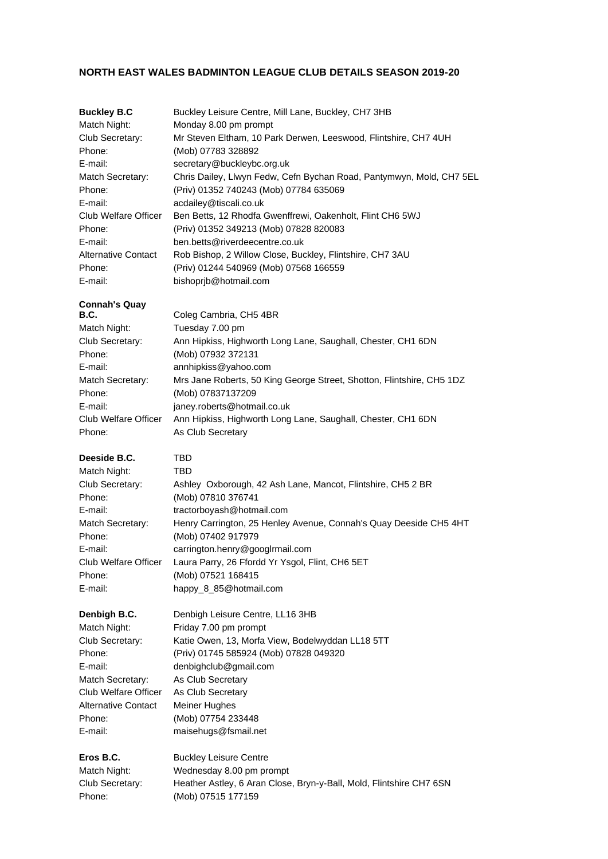#### **NORTH EAST WALES BADMINTON LEAGUE CLUB DETAILS SEASON 2019-20**

| <b>Buckley B.C</b>                                                                                                                                                            | Buckley Leisure Centre, Mill Lane, Buckley, CH7 3HB                                                                                                                                                                                                                                                                                                                       |
|-------------------------------------------------------------------------------------------------------------------------------------------------------------------------------|---------------------------------------------------------------------------------------------------------------------------------------------------------------------------------------------------------------------------------------------------------------------------------------------------------------------------------------------------------------------------|
| Match Night:                                                                                                                                                                  | Monday 8.00 pm prompt                                                                                                                                                                                                                                                                                                                                                     |
| Club Secretary:                                                                                                                                                               | Mr Steven Eltham, 10 Park Derwen, Leeswood, Flintshire, CH7 4UH                                                                                                                                                                                                                                                                                                           |
| Phone:                                                                                                                                                                        | (Mob) 07783 328892                                                                                                                                                                                                                                                                                                                                                        |
| E-mail:                                                                                                                                                                       | secretary@buckleybc.org.uk                                                                                                                                                                                                                                                                                                                                                |
| Match Secretary:                                                                                                                                                              | Chris Dailey, Llwyn Fedw, Cefn Bychan Road, Pantymwyn, Mold, CH7 5EL                                                                                                                                                                                                                                                                                                      |
| Phone:                                                                                                                                                                        | (Priv) 01352 740243 (Mob) 07784 635069                                                                                                                                                                                                                                                                                                                                    |
| E-mail:                                                                                                                                                                       | acdailey@tiscali.co.uk                                                                                                                                                                                                                                                                                                                                                    |
| Club Welfare Officer                                                                                                                                                          | Ben Betts, 12 Rhodfa Gwenffrewi, Oakenholt, Flint CH6 5WJ                                                                                                                                                                                                                                                                                                                 |
| Phone:                                                                                                                                                                        | (Priv) 01352 349213 (Mob) 07828 820083                                                                                                                                                                                                                                                                                                                                    |
| E-mail:                                                                                                                                                                       | ben.betts@riverdeecentre.co.uk                                                                                                                                                                                                                                                                                                                                            |
| <b>Alternative Contact</b>                                                                                                                                                    | Rob Bishop, 2 Willow Close, Buckley, Flintshire, CH7 3AU                                                                                                                                                                                                                                                                                                                  |
| Phone:                                                                                                                                                                        | (Priv) 01244 540969 (Mob) 07568 166559                                                                                                                                                                                                                                                                                                                                    |
| E-mail:                                                                                                                                                                       | bishoprjb@hotmail.com                                                                                                                                                                                                                                                                                                                                                     |
| <b>Connah's Quay</b><br><b>B.C.</b><br>Match Night:<br>Club Secretary:<br>Phone:<br>E-mail:<br>Match Secretary:<br>Phone:<br>E-mail:<br><b>Club Welfare Officer</b><br>Phone: | Coleg Cambria, CH5 4BR<br>Tuesday 7.00 pm<br>Ann Hipkiss, Highworth Long Lane, Saughall, Chester, CH1 6DN<br>(Mob) 07932 372131<br>annhipkiss@yahoo.com<br>Mrs Jane Roberts, 50 King George Street, Shotton, Flintshire, CH5 1DZ<br>(Mob) 07837137209<br>janey.roberts@hotmail.co.uk<br>Ann Hipkiss, Highworth Long Lane, Saughall, Chester, CH1 6DN<br>As Club Secretary |
| Deeside B.C.                                                                                                                                                                  | TBD                                                                                                                                                                                                                                                                                                                                                                       |
| Match Night:                                                                                                                                                                  | TBD                                                                                                                                                                                                                                                                                                                                                                       |
| Club Secretary:                                                                                                                                                               | Ashley Oxborough, 42 Ash Lane, Mancot, Flintshire, CH5 2 BR                                                                                                                                                                                                                                                                                                               |
| Phone:                                                                                                                                                                        | (Mob) 07810 376741                                                                                                                                                                                                                                                                                                                                                        |
| E-mail:                                                                                                                                                                       | tractorboyash@hotmail.com                                                                                                                                                                                                                                                                                                                                                 |
| Match Secretary:                                                                                                                                                              | Henry Carrington, 25 Henley Avenue, Connah's Quay Deeside CH5 4HT                                                                                                                                                                                                                                                                                                         |
| Phone:                                                                                                                                                                        | (Mob) 07402 917979                                                                                                                                                                                                                                                                                                                                                        |
| E-mail:                                                                                                                                                                       | carrington.henry@googlrmail.com                                                                                                                                                                                                                                                                                                                                           |
| Club Welfare Officer                                                                                                                                                          | Laura Parry, 26 Ffordd Yr Ysgol, Flint, CH6 5ET                                                                                                                                                                                                                                                                                                                           |
| Phone:                                                                                                                                                                        | (Mob) 07521 168415                                                                                                                                                                                                                                                                                                                                                        |
| E-mail:                                                                                                                                                                       | happy_8_85@hotmail.com                                                                                                                                                                                                                                                                                                                                                    |
| Denbigh B.C.                                                                                                                                                                  | Denbigh Leisure Centre, LL16 3HB                                                                                                                                                                                                                                                                                                                                          |
| Match Night:                                                                                                                                                                  | Friday 7.00 pm prompt                                                                                                                                                                                                                                                                                                                                                     |
| Club Secretary:                                                                                                                                                               | Katie Owen, 13, Morfa View, Bodelwyddan LL18 5TT                                                                                                                                                                                                                                                                                                                          |
| Phone:                                                                                                                                                                        | (Priv) 01745 585924 (Mob) 07828 049320                                                                                                                                                                                                                                                                                                                                    |
| E-mail:                                                                                                                                                                       | denbighclub@gmail.com                                                                                                                                                                                                                                                                                                                                                     |
| Match Secretary:                                                                                                                                                              | As Club Secretary                                                                                                                                                                                                                                                                                                                                                         |
| Club Welfare Officer                                                                                                                                                          | As Club Secretary                                                                                                                                                                                                                                                                                                                                                         |
| <b>Alternative Contact</b>                                                                                                                                                    | <b>Meiner Hughes</b>                                                                                                                                                                                                                                                                                                                                                      |
| Phone:                                                                                                                                                                        | (Mob) 07754 233448                                                                                                                                                                                                                                                                                                                                                        |
| E-mail:                                                                                                                                                                       | maisehugs@fsmail.net                                                                                                                                                                                                                                                                                                                                                      |
| Eros B.C.                                                                                                                                                                     | <b>Buckley Leisure Centre</b>                                                                                                                                                                                                                                                                                                                                             |
| Match Night:                                                                                                                                                                  | Wednesday 8.00 pm prompt                                                                                                                                                                                                                                                                                                                                                  |
| Club Secretary:                                                                                                                                                               | Heather Astley, 6 Aran Close, Bryn-y-Ball, Mold, Flintshire CH7 6SN                                                                                                                                                                                                                                                                                                       |
| Phone:                                                                                                                                                                        | (Mob) 07515 177159                                                                                                                                                                                                                                                                                                                                                        |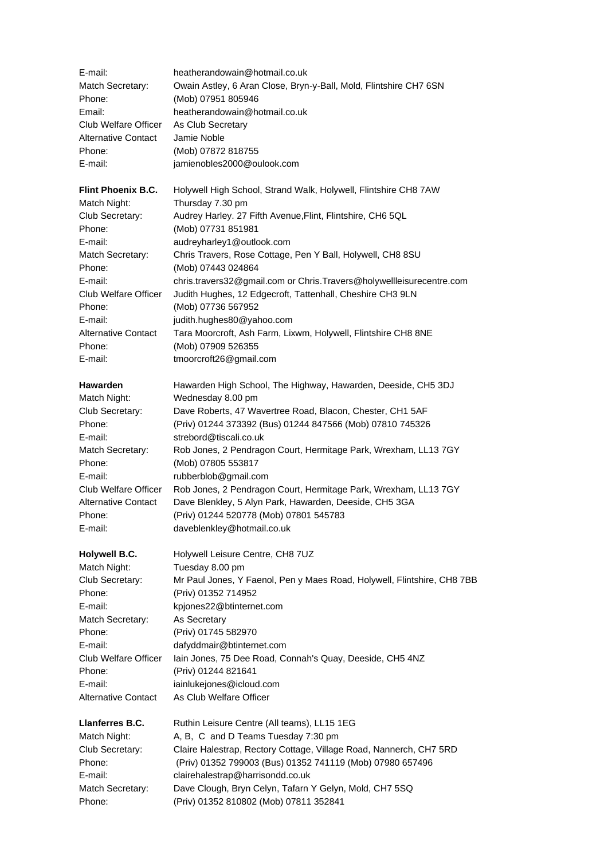| E-mail:<br>Match Secretary: | heatherandowain@hotmail.co.uk<br>Owain Astley, 6 Aran Close, Bryn-y-Ball, Mold, Flintshire CH7 6SN |
|-----------------------------|----------------------------------------------------------------------------------------------------|
|                             |                                                                                                    |
| Phone:                      | (Mob) 07951 805946                                                                                 |
| Email:                      | heatherandowain@hotmail.co.uk                                                                      |
| <b>Club Welfare Officer</b> | As Club Secretary<br>Jamie Noble                                                                   |
| <b>Alternative Contact</b>  |                                                                                                    |
| Phone:                      | (Mob) 07872 818755                                                                                 |
| E-mail:                     | jamienobles2000@oulook.com                                                                         |
| Flint Phoenix B.C.          | Holywell High School, Strand Walk, Holywell, Flintshire CH8 7AW                                    |
| Match Night:                | Thursday 7.30 pm                                                                                   |
| Club Secretary:             | Audrey Harley. 27 Fifth Avenue, Flint, Flintshire, CH6 5QL                                         |
| Phone:                      | (Mob) 07731 851981                                                                                 |
| E-mail:                     | audreyharley1@outlook.com                                                                          |
| Match Secretary:            | Chris Travers, Rose Cottage, Pen Y Ball, Holywell, CH8 8SU                                         |
| Phone:                      | (Mob) 07443 024864                                                                                 |
| E-mail:                     | chris.travers32@gmail.com or Chris.Travers@holywellleisurecentre.com                               |
| <b>Club Welfare Officer</b> | Judith Hughes, 12 Edgecroft, Tattenhall, Cheshire CH3 9LN                                          |
| Phone:                      | (Mob) 07736 567952                                                                                 |
| E-mail:                     | judith.hughes80@yahoo.com                                                                          |
| <b>Alternative Contact</b>  | Tara Moorcroft, Ash Farm, Lixwm, Holywell, Flintshire CH8 8NE                                      |
| Phone:                      | (Mob) 07909 526355                                                                                 |
| E-mail:                     | tmoorcroft26@gmail.com                                                                             |
| <b>Hawarden</b>             | Hawarden High School, The Highway, Hawarden, Deeside, CH5 3DJ                                      |
| Match Night:                | Wednesday 8.00 pm                                                                                  |
| Club Secretary:             | Dave Roberts, 47 Wavertree Road, Blacon, Chester, CH1 5AF                                          |
| Phone:                      | (Priv) 01244 373392 (Bus) 01244 847566 (Mob) 07810 745326                                          |
| E-mail:                     | strebord@tiscali.co.uk                                                                             |
| Match Secretary:            | Rob Jones, 2 Pendragon Court, Hermitage Park, Wrexham, LL13 7GY                                    |
| Phone:                      | (Mob) 07805 553817                                                                                 |
| E-mail:                     | rubberblob@gmail.com                                                                               |
| <b>Club Welfare Officer</b> | Rob Jones, 2 Pendragon Court, Hermitage Park, Wrexham, LL13 7GY                                    |
| <b>Alternative Contact</b>  | Dave Blenkley, 5 Alyn Park, Hawarden, Deeside, CH5 3GA                                             |
| Phone:                      | (Priv) 01244 520778 (Mob) 07801 545783                                                             |
| E-mail:                     | daveblenkley@hotmail.co.uk                                                                         |
| <b>Holywell B.C.</b>        | Holywell Leisure Centre, CH8 7UZ                                                                   |
| Match Night:                | Tuesday 8.00 pm                                                                                    |
| Club Secretary:             | Mr Paul Jones, Y Faenol, Pen y Maes Road, Holywell, Flintshire, CH8 7BB                            |
| Phone:                      | (Priv) 01352 714952                                                                                |
| E-mail:                     | kpjones22@btinternet.com                                                                           |
| Match Secretary:            | As Secretary                                                                                       |
| Phone:                      | (Priv) 01745 582970                                                                                |
| E-mail:                     | dafyddmair@btinternet.com                                                                          |
| <b>Club Welfare Officer</b> | Iain Jones, 75 Dee Road, Connah's Quay, Deeside, CH5 4NZ                                           |
| Phone:                      | (Priv) 01244 821641                                                                                |
| E-mail:                     | iainlukejones@icloud.com                                                                           |
| <b>Alternative Contact</b>  | As Club Welfare Officer                                                                            |
| Llanferres B.C.             | Ruthin Leisure Centre (All teams), LL15 1EG                                                        |
| Match Night:                | A, B, C and D Teams Tuesday 7:30 pm                                                                |
| Club Secretary:             | Claire Halestrap, Rectory Cottage, Village Road, Nannerch, CH7 5RD                                 |
| Phone:                      | (Priv) 01352 799003 (Bus) 01352 741119 (Mob) 07980 657496                                          |
| E-mail:                     | clairehalestrap@harrisondd.co.uk                                                                   |
| Match Secretary:            | Dave Clough, Bryn Celyn, Tafarn Y Gelyn, Mold, CH7 5SQ                                             |
| Phone:                      | (Priv) 01352 810802 (Mob) 07811 352841                                                             |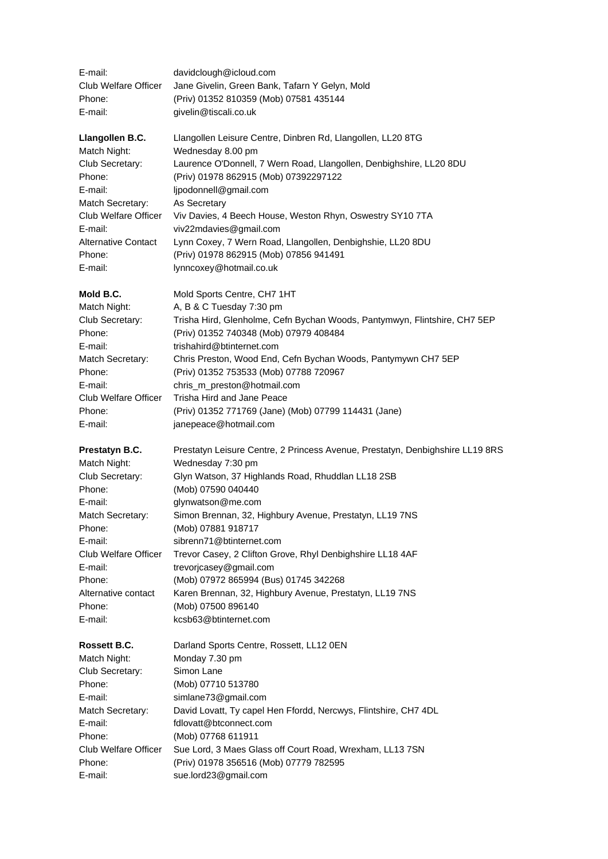| E-mail:                     | davidclough@icloud.com                                                        |
|-----------------------------|-------------------------------------------------------------------------------|
| Club Welfare Officer        | Jane Givelin, Green Bank, Tafarn Y Gelyn, Mold                                |
| Phone:                      | (Priv) 01352 810359 (Mob) 07581 435144                                        |
| E-mail:                     | givelin@tiscali.co.uk                                                         |
| Llangollen B.C.             | Llangollen Leisure Centre, Dinbren Rd, Llangollen, LL20 8TG                   |
| Match Night:                | Wednesday 8.00 pm                                                             |
| Club Secretary:             | Laurence O'Donnell, 7 Wern Road, Llangollen, Denbighshire, LL20 8DU           |
| Phone:                      | (Priv) 01978 862915 (Mob) 07392297122                                         |
| E-mail:                     | ljpodonnell@gmail.com                                                         |
| Match Secretary:            | As Secretary                                                                  |
| Club Welfare Officer        | Viv Davies, 4 Beech House, Weston Rhyn, Oswestry SY10 7TA                     |
| E-mail:                     | viv22mdavies@gmail.com                                                        |
| <b>Alternative Contact</b>  | Lynn Coxey, 7 Wern Road, Llangollen, Denbighshie, LL20 8DU                    |
| Phone:                      | (Priv) 01978 862915 (Mob) 07856 941491                                        |
| E-mail:                     | lynncoxey@hotmail.co.uk                                                       |
| Mold B.C.                   | Mold Sports Centre, CH7 1HT                                                   |
| Match Night:                | A, B & C Tuesday 7:30 pm                                                      |
| Club Secretary:             | Trisha Hird, Glenholme, Cefn Bychan Woods, Pantymwyn, Flintshire, CH7 5EP     |
| Phone:                      | (Priv) 01352 740348 (Mob) 07979 408484                                        |
| E-mail:                     | trishahird@btinternet.com                                                     |
| Match Secretary:            | Chris Preston, Wood End, Cefn Bychan Woods, Pantymywn CH7 5EP                 |
| Phone:                      | (Priv) 01352 753533 (Mob) 07788 720967                                        |
| E-mail:                     | chris_m_preston@hotmail.com                                                   |
| Club Welfare Officer        | Trisha Hird and Jane Peace                                                    |
| Phone:                      | (Priv) 01352 771769 (Jane) (Mob) 07799 114431 (Jane)                          |
| E-mail:                     | janepeace@hotmail.com                                                         |
| Prestatyn B.C.              | Prestatyn Leisure Centre, 2 Princess Avenue, Prestatyn, Denbighshire LL19 8RS |
| Match Night:                | Wednesday 7:30 pm                                                             |
| Club Secretary:             | Glyn Watson, 37 Highlands Road, Rhuddlan LL18 2SB                             |
| Phone:                      | (Mob) 07590 040440                                                            |
| E-mail:                     | glynwatson@me.com                                                             |
| Match Secretary:            | Simon Brennan, 32, Highbury Avenue, Prestatyn, LL19 7NS                       |
| Phone:                      | (Mob) 07881 918717                                                            |
| E-mail:                     | sibrenn71@btinternet.com                                                      |
| Club Welfare Officer        | Trevor Casey, 2 Clifton Grove, Rhyl Denbighshire LL18 4AF                     |
| E-mail:                     | trevorjcasey@gmail.com                                                        |
| Phone:                      | (Mob) 07972 865994 (Bus) 01745 342268                                         |
| Alternative contact         | Karen Brennan, 32, Highbury Avenue, Prestatyn, LL19 7NS                       |
| Phone:                      | (Mob) 07500 896140                                                            |
| E-mail:                     | kcsb63@btinternet.com                                                         |
| Rossett B.C.                | Darland Sports Centre, Rossett, LL12 0EN                                      |
| Match Night:                | Monday 7.30 pm                                                                |
| Club Secretary:             | Simon Lane                                                                    |
| Phone:                      | (Mob) 07710 513780                                                            |
| E-mail:                     | simlane73@gmail.com                                                           |
| Match Secretary:            | David Lovatt, Ty capel Hen Ffordd, Nercwys, Flintshire, CH7 4DL               |
| E-mail:                     | fdlovatt@btconnect.com                                                        |
| Phone:                      | (Mob) 07768 611911                                                            |
| <b>Club Welfare Officer</b> | Sue Lord, 3 Maes Glass off Court Road, Wrexham, LL13 7SN                      |
| Phone:                      | (Priv) 01978 356516 (Mob) 07779 782595                                        |
| E-mail:                     | sue.lord23@gmail.com                                                          |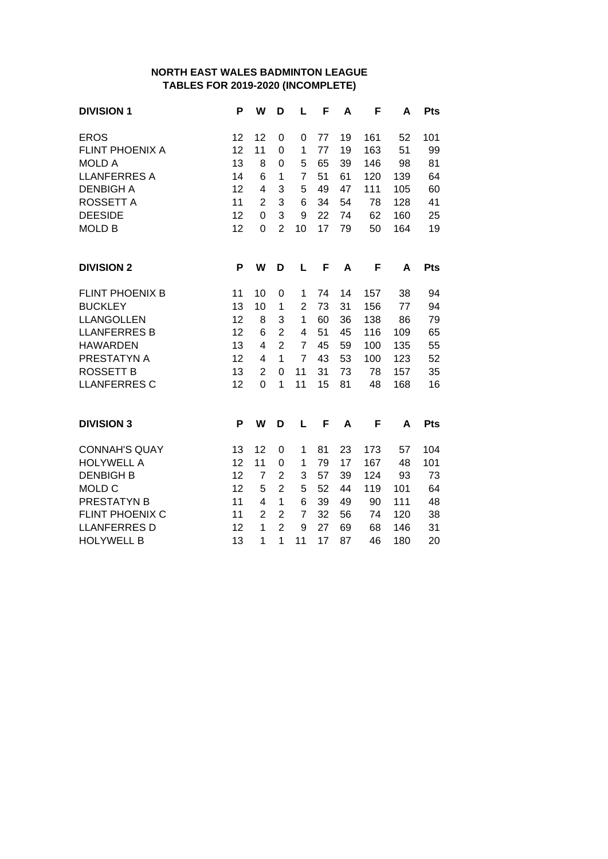#### **NORTH EAST WALES BADMINTON LEAGUE TABLES FOR 2019-2020 (INCOMPLETE)**

| <b>DIVISION 1</b>      | P  | W              | D              | L              | F  | A  | F   | A   | <b>Pts</b> |
|------------------------|----|----------------|----------------|----------------|----|----|-----|-----|------------|
| <b>EROS</b>            | 12 | 12             | 0              | 0              | 77 | 19 | 161 | 52  | 101        |
| <b>FLINT PHOENIX A</b> | 12 | 11             | 0              | 1              | 77 | 19 | 163 | 51  | 99         |
| <b>MOLD A</b>          | 13 | 8              | $\overline{0}$ | 5              | 65 | 39 | 146 | 98  | 81         |
| <b>LLANFERRES A</b>    | 14 | 6              | 1              | $\overline{7}$ | 51 | 61 | 120 | 139 | 64         |
| <b>DENBIGH A</b>       | 12 | 4              | 3              | 5              | 49 | 47 | 111 | 105 | 60         |
| <b>ROSSETT A</b>       | 11 | $\overline{2}$ | 3              | 6              | 34 | 54 | 78  | 128 | 41         |
| <b>DEESIDE</b>         | 12 | 0              | 3              | 9              | 22 | 74 | 62  | 160 | 25         |
| <b>MOLD B</b>          | 12 | 0              | $\overline{2}$ | 10             | 17 | 79 | 50  | 164 | 19         |
| <b>DIVISION 2</b>      | P  | W              | D              | L              | F  | A  | F   | A   | Pts        |
| <b>FLINT PHOENIX B</b> | 11 | 10             | 0              | 1              | 74 | 14 | 157 | 38  | 94         |
| <b>BUCKLEY</b>         | 13 | 10             | 1              | $\overline{2}$ | 73 | 31 | 156 | 77  | 94         |
| <b>LLANGOLLEN</b>      | 12 | 8              | 3              | 1              | 60 | 36 | 138 | 86  | 79         |
| <b>LLANFERRES B</b>    | 12 | 6              | $\overline{2}$ | 4              | 51 | 45 | 116 | 109 | 65         |
| <b>HAWARDEN</b>        | 13 | 4              | $\overline{2}$ | $\overline{7}$ | 45 | 59 | 100 | 135 | 55         |
| PRESTATYN A            | 12 | 4              | $\overline{1}$ | $\overline{7}$ | 43 | 53 | 100 | 123 | 52         |
| <b>ROSSETT B</b>       | 13 | $\overline{2}$ | 0              | 11             | 31 | 73 | 78  | 157 | 35         |
| <b>LLANFERRES C</b>    | 12 | 0              | 1              | 11             | 15 | 81 | 48  | 168 | 16         |
| <b>DIVISION 3</b>      | P  | W              | D              | L              | F  | A  | F   | A   | <b>Pts</b> |
|                        |    |                |                |                |    |    |     |     |            |
| <b>CONNAH'S QUAY</b>   | 13 | 12             | 0              | 1              | 81 | 23 | 173 | 57  | 104        |
| <b>HOLYWELL A</b>      | 12 | 11             | 0              | 1              | 79 | 17 | 167 | 48  | 101        |
| <b>DENBIGH B</b>       | 12 | $\overline{7}$ | $\overline{2}$ | 3              | 57 | 39 | 124 | 93  | 73         |
| MOLD C                 | 12 | 5              | $\overline{2}$ | 5              | 52 | 44 | 119 | 101 | 64         |
| <b>PRESTATYN B</b>     | 11 | 4              | 1              | 6              | 39 | 49 | 90  | 111 | 48         |
| FLINT PHOENIX C        | 11 | $\overline{2}$ | $\overline{2}$ | $\overline{7}$ | 32 | 56 | 74  | 120 | 38         |
| <b>LLANFERRES D</b>    | 12 | 1              | $\overline{2}$ | 9              | 27 | 69 | 68  | 146 | 31         |
| <b>HOLYWELL B</b>      | 13 | 1              | $\overline{1}$ | 11             | 17 | 87 | 46  | 180 | 20         |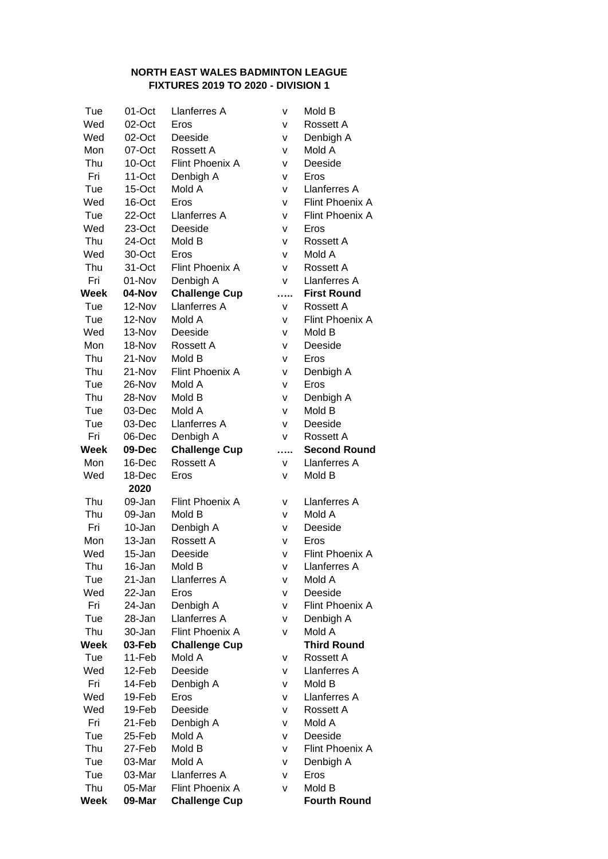#### **NORTH EAST WALES BADMINTON LEAGUE FIXTURES 2019 TO 2020 - DIVISION 1**

| Tue  | 01-Oct         | Llanferres A         | v        | Mold B              |
|------|----------------|----------------------|----------|---------------------|
| Wed  | 02-Oct         | Eros                 | v        | Rossett A           |
| Wed  | 02-Oct         | Deeside              | v        | Denbigh A           |
| Mon  | 07-Oct         | Rossett A            | v        | Mold A              |
| Thu  | 10-Oct         | Flint Phoenix A      | v        | Deeside             |
| Fri  | 11-Oct         | Denbigh A            | v        | Eros                |
| Tue  | 15-Oct         | Mold A               | v        | Llanferres A        |
| Wed  | 16-Oct         | Eros                 | v        | Flint Phoenix A     |
| Tue  | 22-Oct         | Llanferres A         | V        | Flint Phoenix A     |
| Wed  | 23-Oct         | Deeside              | v        | Eros                |
| Thu  | 24-Oct         | Mold B               | ٧        | Rossett A           |
| Wed  | 30-Oct         | Eros                 | v        | Mold A              |
| Thu  | 31-Oct         | Flint Phoenix A      | v        | Rossett A           |
| Fri  | 01-Nov         | Denbigh A            | v        | Llanferres A        |
| Week | 04-Nov         | <b>Challenge Cup</b> |          | <b>First Round</b>  |
| Tue  | 12-Nov         | Llanferres A         | v        | Rossett A           |
| Tue  | 12-Nov         | Mold A               | v        | Flint Phoenix A     |
| Wed  | 13-Nov         | Deeside              | v        | Mold B              |
| Mon  | 18-Nov         | Rossett A            | v        | Deeside             |
| Thu  | 21-Nov         | Mold B               | v        | Eros                |
| Thu  | 21-Nov         | Flint Phoenix A      | ٧        | Denbigh A           |
| Tue  | 26-Nov         | Mold A               | v        | Eros                |
| Thu  | 28-Nov         | Mold B               | ٧        | Denbigh A           |
| Tue  | 03-Dec         | Mold A               | v        | Mold B              |
| Tue  | 03-Dec         | Llanferres A         | v        | Deeside             |
| Fri  | 06-Dec         | Denbigh A            | v        | Rossett A           |
| Week | 09-Dec         | <b>Challenge Cup</b> | $\cdots$ | <b>Second Round</b> |
| Mon  | 16-Dec         | Rossett A            | v        | Llanferres A        |
| Wed  | 18-Dec<br>2020 | Eros                 | v        | Mold B              |
| Thu  | 09-Jan         | Flint Phoenix A      | v        | Llanferres A        |
| Thu  | 09-Jan         | Mold B               | v        | Mold A              |
| Fri  | 10-Jan         | Denbigh A            | v        | Deeside             |
| Mon  | 13-Jan         | Rossett A            | ٧        | Eros                |
| Wed  | 15-Jan         | Deeside              | V        | Flint Phoenix A     |
| Thu  | 16-Jan         | Mold B               | ٧        | Llanferres A        |
| Tue  | 21-Jan         | Llanferres A         | v        | Mold A              |
| Wed  | 22-Jan         | Eros                 | v        | Deeside             |
| Fri  | 24-Jan         | Denbigh A            | v        | Flint Phoenix A     |
| Tue  | 28-Jan         | Llanferres A         | v        | Denbigh A           |
| Thu  | 30-Jan         | Flint Phoenix A      | v        | Mold A              |
| Week | 03-Feb         | <b>Challenge Cup</b> |          | <b>Third Round</b>  |
| Tue  | 11-Feb         | Mold A               | v        | Rossett A           |
| Wed  | 12-Feb         | Deeside              | v        | Llanferres A        |
| Fri  | 14-Feb         | Denbigh A            | v        | Mold B              |
| Wed  | 19-Feb         | Eros                 | v        | Llanferres A        |
| Wed  | 19-Feb         | Deeside              | v        | Rossett A           |
| Fri  | 21-Feb         | Denbigh A            | v        | Mold A              |
| Tue  | 25-Feb         | Mold A               | ٧        | Deeside             |
| Thu  | 27-Feb         | Mold B               | ٧        | Flint Phoenix A     |
| Tue  | 03-Mar         | Mold A               | ٧        | Denbigh A           |
| Tue  | 03-Mar         | Llanferres A         | v        | Eros                |
| Thu  | 05-Mar         | Flint Phoenix A      | v        | Mold B              |
| Week | 09-Mar         | <b>Challenge Cup</b> |          | <b>Fourth Round</b> |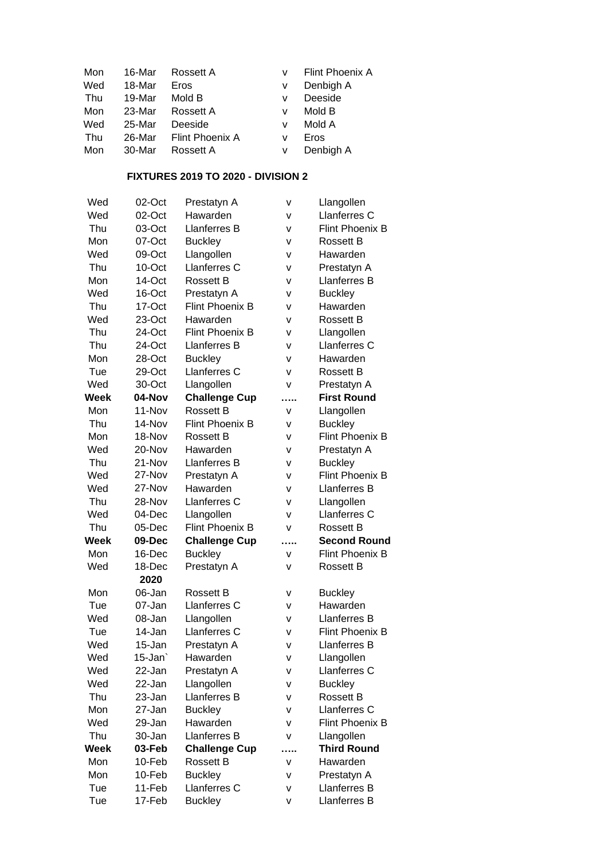| Mon | 16-Mar | Rossett A       |   | Flint Phoenix A |
|-----|--------|-----------------|---|-----------------|
| Wed | 18-Mar | Eros            | v | Denbigh A       |
| Thu | 19-Mar | Mold B          | v | Deeside         |
| Mon | 23-Mar | Rossett A       | v | Mold B          |
| Wed | 25-Mar | Deeside         | v | Mold A          |
| Thu | 26-Mar | Flint Phoenix A | v | Eros            |
| Mon | 30-Mar | Rossett A       | v | Denbigh A       |

#### **FIXTURES 2019 TO 2020 - DIVISION 2**

| Wed  | 02-Oct | Prestatyn A            | v | Llangollen             |
|------|--------|------------------------|---|------------------------|
| Wed  | 02-Oct | Hawarden               | v | Llanferres C           |
| Thu  | 03-Oct | Llanferres B           | v | <b>Flint Phoenix B</b> |
| Mon  | 07-Oct | <b>Buckley</b>         | v | Rossett B              |
| Wed  | 09-Oct | Llangollen             | v | Hawarden               |
| Thu  | 10-Oct | Llanferres C           | v | Prestatyn A            |
| Mon  | 14-Oct | <b>Rossett B</b>       | v | Llanferres B           |
| Wed  | 16-Oct | Prestatyn A            | v | <b>Buckley</b>         |
| Thu  | 17-Oct | <b>Flint Phoenix B</b> | v | Hawarden               |
| Wed  | 23-Oct | Hawarden               | v | Rossett B              |
| Thu  | 24-Oct | <b>Flint Phoenix B</b> | ٧ | Llangollen             |
| Thu  | 24-Oct | Llanferres B           | v | Llanferres C           |
| Mon  | 28-Oct | <b>Buckley</b>         | v | Hawarden               |
| Tue  | 29-Oct | Llanferres C           | v | <b>Rossett B</b>       |
| Wed  | 30-Oct | Llangollen             | v | Prestatyn A            |
| Week | 04-Nov | <b>Challenge Cup</b>   | . | <b>First Round</b>     |
| Mon  | 11-Nov | <b>Rossett B</b>       | v | Llangollen             |
| Thu  | 14-Nov | <b>Flint Phoenix B</b> | v | <b>Buckley</b>         |
| Mon  | 18-Nov | <b>Rossett B</b>       | v | <b>Flint Phoenix B</b> |
| Wed  | 20-Nov | Hawarden               | v | Prestatyn A            |
| Thu  | 21-Nov | Llanferres B           | v | <b>Buckley</b>         |
| Wed  | 27-Nov | Prestatyn A            | v | <b>Flint Phoenix B</b> |
| Wed  | 27-Nov | Hawarden               | ۷ | Llanferres B           |
| Thu  | 28-Nov | <b>Llanferres C</b>    | v | Llangollen             |
| Wed  | 04-Dec | Llangollen             | v | Llanferres C           |
| Thu  | 05-Dec | <b>Flint Phoenix B</b> | v | <b>Rossett B</b>       |
| Week | 09-Dec | <b>Challenge Cup</b>   | . | <b>Second Round</b>    |
| Mon  | 16-Dec | <b>Buckley</b>         | v | <b>Flint Phoenix B</b> |
| Wed  | 18-Dec | Prestatyn A            | v | <b>Rossett B</b>       |
|      | 2020   |                        |   |                        |
| Mon  | 06-Jan | Rossett B              | ۷ | <b>Buckley</b>         |
| Tue  | 07-Jan | Llanferres C           | v | Hawarden               |
| Wed  | 08-Jan | Llangollen             | v | Llanferres B           |
| Tue  | 14-Jan | Llanferres C           | v | Flint Phoenix B        |
| Wed  | 15-Jan | Prestatyn A            | v | Llanferres B           |
| Wed  | 15-Jan | Hawarden               | ٧ | Llangollen             |
| Wed  | 22-Jan | Prestatyn A            | ۷ | Llanferres C           |
| Wed  | 22-Jan | Llangollen             | ٧ | <b>Buckley</b>         |
| Thu  | 23-Jan | Llanferres B           | v | <b>Rossett B</b>       |
| Mon  | 27-Jan | <b>Buckley</b>         | v | Llanferres C           |
| Wed  | 29-Jan | Hawarden               | v | Flint Phoenix B        |
| Thu  | 30-Jan | Llanferres B           | v | Llangollen             |
| Week | 03-Feb | <b>Challenge Cup</b>   | . | <b>Third Round</b>     |
| Mon  | 10-Feb | <b>Rossett B</b>       | v | Hawarden               |
| Mon  | 10-Feb | <b>Buckley</b>         | v | Prestatyn A            |
| Tue  | 11-Feb | Llanferres C           | ٧ | Llanferres B           |
| Tue  | 17-Feb | <b>Buckley</b>         | v | Llanferres B           |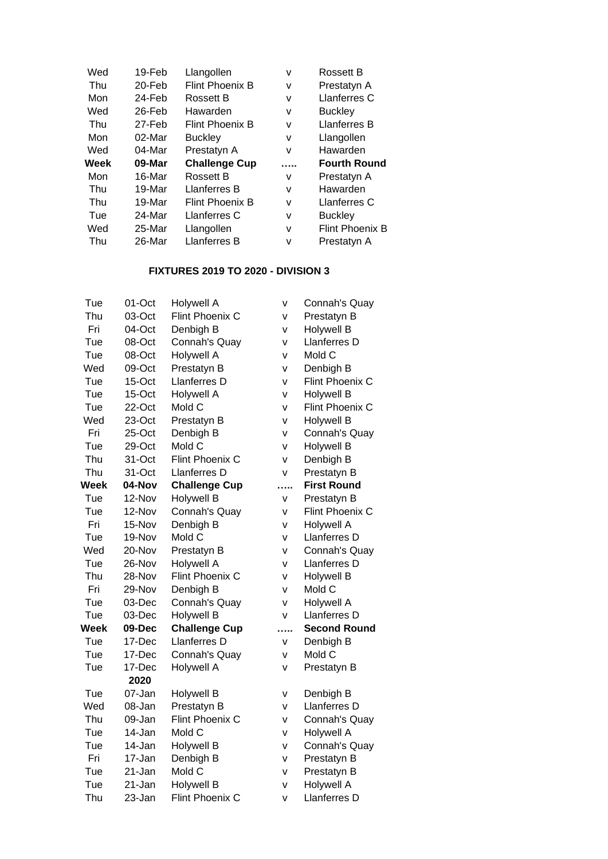| Wed  | 19-Feb    | Llangollen             | v | <b>Rossett B</b>       |
|------|-----------|------------------------|---|------------------------|
| Thu  | $20$ -Feb | <b>Flint Phoenix B</b> | v | Prestatyn A            |
| Mon  | 24-Feb    | Rossett B              | v | Llanferres C           |
| Wed  | 26-Feb    | Hawarden               | v | <b>Buckley</b>         |
| Thu  | 27-Feb    | <b>Flint Phoenix B</b> | v | Llanferres B           |
| Mon  | 02-Mar    | <b>Buckley</b>         | v | Llangollen             |
|      |           |                        |   |                        |
| Wed  | 04-Mar    | Prestatyn A            | v | Hawarden               |
| Week | 09-Mar    | <b>Challenge Cup</b>   |   | <b>Fourth Round</b>    |
| Mon  | 16-Mar    | Rossett B              | v | Prestatyn A            |
| Thu  | 19-Mar    | Llanferres B           | v | Hawarden               |
| Thu  | 19-Mar    | <b>Flint Phoenix B</b> | v | Llanferres C           |
| Tue  | 24-Mar    | Llanferres C           | v | <b>Buckley</b>         |
| Wed  | 25-Mar    | Llangollen             | v | <b>Flint Phoenix B</b> |

#### **FIXTURES 2019 TO 2020 - DIVISION 3**

| Tue  | $01$ -Oct  | <b>Holywell A</b>      | ٧            | Connah's Quay       |
|------|------------|------------------------|--------------|---------------------|
| Thu  | 03-Oct     | <b>Flint Phoenix C</b> | v            | Prestatyn B         |
| Fri  | 04-Oct     | Denbigh B              | v            | <b>Holywell B</b>   |
| Tue  | 08-Oct     | Connah's Quay          | ٧            | Llanferres D        |
| Tue  | 08-Oct     | <b>Holywell A</b>      | V            | Mold C              |
| Wed  | 09-Oct     | Prestatyn B            | ٧            | Denbigh B           |
| Tue  | 15-Oct     | Llanferres D           | V            | Flint Phoenix C     |
| Tue  | 15-Oct     | <b>Holywell A</b>      | V            | <b>Holywell B</b>   |
| Tue  | 22-Oct     | Mold C                 | v            | Flint Phoenix C     |
| Wed  | 23-Oct     | Prestatyn B            | ٧            | <b>Holywell B</b>   |
| Fri  | 25-Oct     | Denbigh B              | V            | Connah's Quay       |
| Tue  | 29-Oct     | Mold C                 | V            | <b>Holywell B</b>   |
| Thu  | 31-Oct     | Flint Phoenix C        | V            | Denbigh B           |
| Thu  | $31 - Oct$ | Llanferres D           | $\mathsf{V}$ | Prestatyn B         |
| Week | 04-Nov     | <b>Challenge Cup</b>   | .            | <b>First Round</b>  |
| Tue  | 12-Nov     | <b>Holywell B</b>      | V            | Prestatyn B         |
| Tue  | 12-Nov     | Connah's Quay          | ٧            | Flint Phoenix C     |
| Fri  | 15-Nov     | Denbigh B              | v            | <b>Holywell A</b>   |
| Tue  | 19-Nov     | Mold C                 | V            | Llanferres D        |
| Wed  | 20-Nov     | Prestatyn B            | v            | Connah's Quay       |
| Tue  | 26-Nov     | <b>Holywell A</b>      | V            | Llanferres D        |
| Thu  | 28-Nov     | Flint Phoenix C        | v            | <b>Holywell B</b>   |
| Fri  | 29-Nov     | Denbigh B              | V            | Mold C              |
| Tue  | 03-Dec     | Connah's Quay          | V            | Holywell A          |
| Tue  | 03-Dec     | <b>Holywell B</b>      | $\mathsf{V}$ | Llanferres D        |
| Week | 09-Dec     | <b>Challenge Cup</b>   | .            | <b>Second Round</b> |
| Tue  | 17-Dec     | Llanferres D           | v            | Denbigh B           |
| Tue  | 17-Dec     | Connah's Quay          | ٧            | Mold C              |
| Tue  | 17-Dec     | <b>Holywell A</b>      | $\mathsf{V}$ | Prestatyn B         |
|      | 2020       |                        |              |                     |
| Tue  | 07-Jan     | <b>Holywell B</b>      | ٧            | Denbigh B           |
| Wed  | 08-Jan     | Prestatyn B            | V            | Llanferres D        |
| Thu  | 09-Jan     | Flint Phoenix C        | ٧            | Connah's Quay       |
| Tue  | 14-Jan     | Mold C                 | V            | Holywell A          |
| Tue  | 14-Jan     | <b>Holywell B</b>      | V            | Connah's Quay       |
| Fri  | 17-Jan     | Denbigh B              | v            | Prestatyn B         |
| Tue  | 21-Jan     | Mold C                 | V            | Prestatyn B         |
| Tue  | 21-Jan     | <b>Holywell B</b>      | ٧            | <b>Holywell A</b>   |
| Thu  | 23-Jan     | Flint Phoenix C        | V            | Llanferres D        |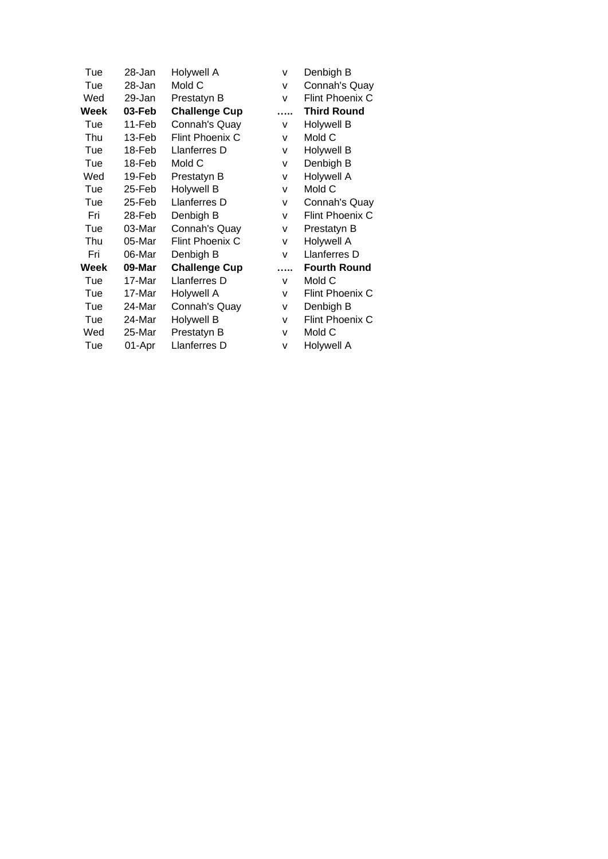| Tue  | 28-Jan | Holywell A           | v | Denbigh B           |
|------|--------|----------------------|---|---------------------|
| Tue  | 28-Jan | Mold C               | v | Connah's Quay       |
| Wed  | 29-Jan | Prestatyn B          | v | Flint Phoenix C     |
| Week | 03-Feb | <b>Challenge Cup</b> |   | <b>Third Round</b>  |
| Tue  | 11-Feb | Connah's Quay        | v | <b>Holywell B</b>   |
| Thu  | 13-Feb | Flint Phoenix C      | v | Mold C              |
| Tue  | 18-Feb | Llanferres D         | v | <b>Holywell B</b>   |
| Tue  | 18-Feb | Mold C               | v | Denbigh B           |
| Wed  | 19-Feb | Prestatyn B          | v | <b>Holywell A</b>   |
| Tue  | 25-Feb | <b>Holywell B</b>    | v | Mold C              |
| Tue  | 25-Feb | Llanferres D         | v | Connah's Quay       |
| Fri  | 28-Feb | Denbigh B            | v | Flint Phoenix C     |
| Tue  | 03-Mar | Connah's Quay        | v | Prestatyn B         |
| Thu  | 05-Mar | Flint Phoenix C      | v | Holywell A          |
| Fri  | 06-Mar | Denbigh B            | v | Llanferres D        |
| Week | 09-Mar | <b>Challenge Cup</b> | . | <b>Fourth Round</b> |
| Tue  | 17-Mar | Llanferres D         | v | Mold C              |
| Tue  | 17-Mar | Holywell A           | v | Flint Phoenix C     |
| Tue  | 24-Mar | Connah's Quay        | v | Denbigh B           |
| Tue  | 24-Mar | <b>Holywell B</b>    | v | Flint Phoenix C     |
| Wed  | 25-Mar | Prestatyn B          | v | Mold C              |
| Tue  | 01-Apr | Llanferres D         | v | Holywell A          |
|      |        |                      |   |                     |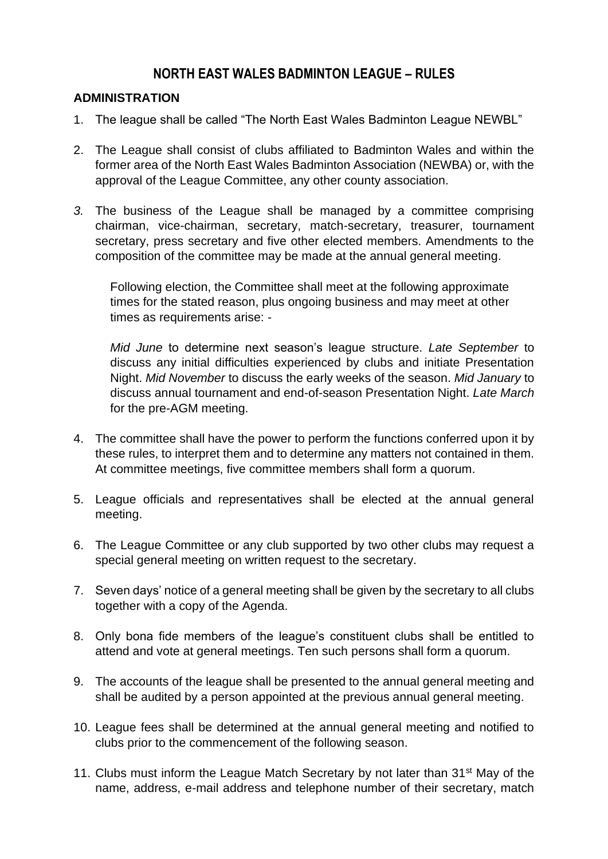# **NORTH EAST WALES BADMINTON LEAGUE – RULES**

#### **ADMINISTRATION**

- 1. The league shall be called "The North East Wales Badminton League NEWBL"
- 2. The League shall consist of clubs affiliated to Badminton Wales and within the former area of the North East Wales Badminton Association (NEWBA) or, with the approval of the League Committee, any other county association.
- *3.* The business of the League shall be managed by a committee comprising chairman, vice-chairman, secretary, match-secretary, treasurer, tournament secretary, press secretary and five other elected members. Amendments to the composition of the committee may be made at the annual general meeting.

Following election, the Committee shall meet at the following approximate times for the stated reason, plus ongoing business and may meet at other times as requirements arise: -

*Mid June* to determine next season's league structure. *Late September* to discuss any initial difficulties experienced by clubs and initiate Presentation Night. *Mid November* to discuss the early weeks of the season. *Mid January* to discuss annual tournament and end-of-season Presentation Night. *Late March* for the pre-AGM meeting.

- 4. The committee shall have the power to perform the functions conferred upon it by these rules, to interpret them and to determine any matters not contained in them. At committee meetings, five committee members shall form a quorum.
- 5. League officials and representatives shall be elected at the annual general meeting.
- 6. The League Committee or any club supported by two other clubs may request a special general meeting on written request to the secretary.
- 7. Seven days' notice of a general meeting shall be given by the secretary to all clubs together with a copy of the Agenda.
- 8. Only bona fide members of the league's constituent clubs shall be entitled to attend and vote at general meetings. Ten such persons shall form a quorum.
- 9. The accounts of the league shall be presented to the annual general meeting and shall be audited by a person appointed at the previous annual general meeting.
- 10. League fees shall be determined at the annual general meeting and notified to clubs prior to the commencement of the following season.
- 11. Clubs must inform the League Match Secretary by not later than 31<sup>st</sup> May of the name, address, e-mail address and telephone number of their secretary, match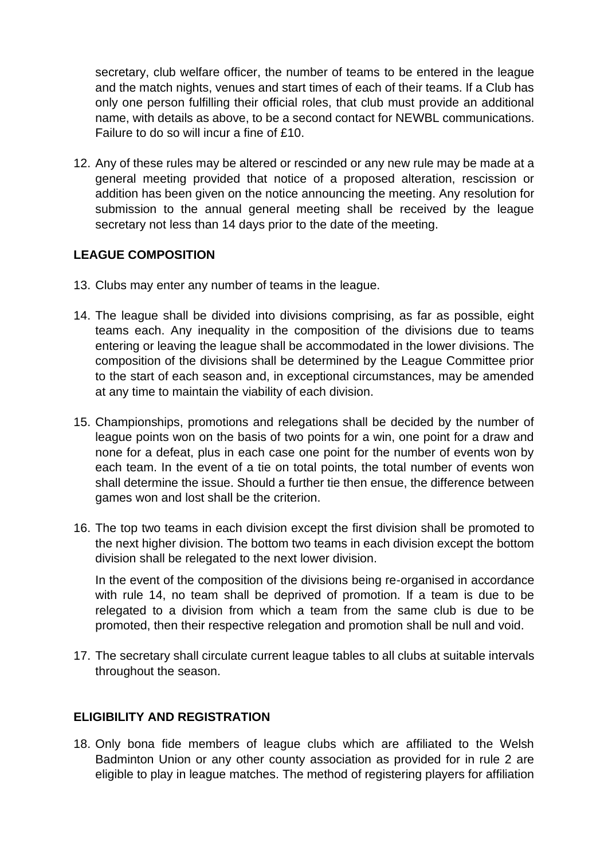secretary, club welfare officer, the number of teams to be entered in the league and the match nights, venues and start times of each of their teams. If a Club has only one person fulfilling their official roles, that club must provide an additional name, with details as above, to be a second contact for NEWBL communications. Failure to do so will incur a fine of £10.

12. Any of these rules may be altered or rescinded or any new rule may be made at a general meeting provided that notice of a proposed alteration, rescission or addition has been given on the notice announcing the meeting. Any resolution for submission to the annual general meeting shall be received by the league secretary not less than 14 days prior to the date of the meeting.

### **LEAGUE COMPOSITION**

- 13. Clubs may enter any number of teams in the league.
- 14. The league shall be divided into divisions comprising, as far as possible, eight teams each. Any inequality in the composition of the divisions due to teams entering or leaving the league shall be accommodated in the lower divisions. The composition of the divisions shall be determined by the League Committee prior to the start of each season and, in exceptional circumstances, may be amended at any time to maintain the viability of each division.
- 15. Championships, promotions and relegations shall be decided by the number of league points won on the basis of two points for a win, one point for a draw and none for a defeat, plus in each case one point for the number of events won by each team. In the event of a tie on total points, the total number of events won shall determine the issue. Should a further tie then ensue, the difference between games won and lost shall be the criterion.
- 16. The top two teams in each division except the first division shall be promoted to the next higher division. The bottom two teams in each division except the bottom division shall be relegated to the next lower division.

In the event of the composition of the divisions being re-organised in accordance with rule 14, no team shall be deprived of promotion. If a team is due to be relegated to a division from which a team from the same club is due to be promoted, then their respective relegation and promotion shall be null and void.

17. The secretary shall circulate current league tables to all clubs at suitable intervals throughout the season.

# **ELIGIBILITY AND REGISTRATION**

18. Only bona fide members of league clubs which are affiliated to the Welsh Badminton Union or any other county association as provided for in rule 2 are eligible to play in league matches. The method of registering players for affiliation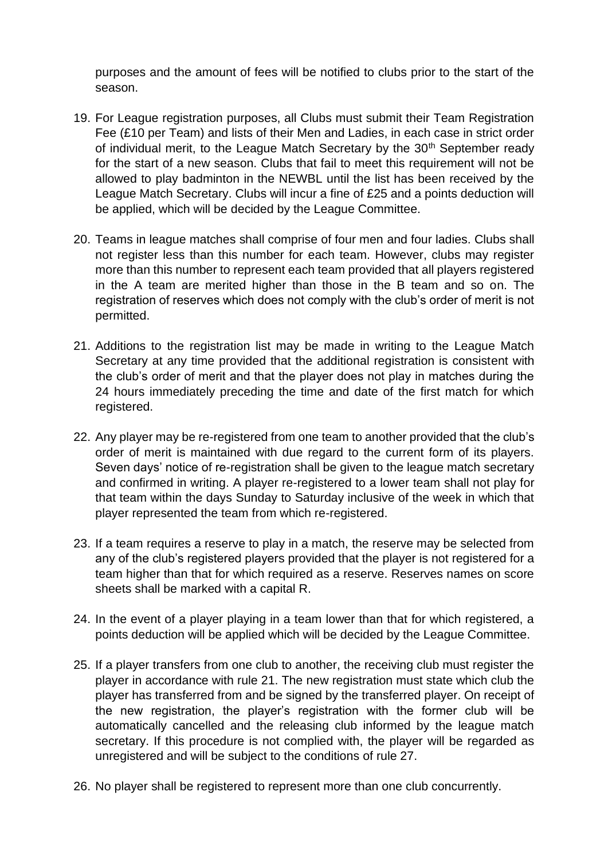purposes and the amount of fees will be notified to clubs prior to the start of the season.

- 19. For League registration purposes, all Clubs must submit their Team Registration Fee (£10 per Team) and lists of their Men and Ladies, in each case in strict order of individual merit, to the League Match Secretary by the 30<sup>th</sup> September ready for the start of a new season. Clubs that fail to meet this requirement will not be allowed to play badminton in the NEWBL until the list has been received by the League Match Secretary. Clubs will incur a fine of £25 and a points deduction will be applied, which will be decided by the League Committee.
- 20. Teams in league matches shall comprise of four men and four ladies. Clubs shall not register less than this number for each team. However, clubs may register more than this number to represent each team provided that all players registered in the A team are merited higher than those in the B team and so on. The registration of reserves which does not comply with the club's order of merit is not permitted.
- 21. Additions to the registration list may be made in writing to the League Match Secretary at any time provided that the additional registration is consistent with the club's order of merit and that the player does not play in matches during the 24 hours immediately preceding the time and date of the first match for which registered.
- 22. Any player may be re-registered from one team to another provided that the club's order of merit is maintained with due regard to the current form of its players. Seven days' notice of re-registration shall be given to the league match secretary and confirmed in writing. A player re-registered to a lower team shall not play for that team within the days Sunday to Saturday inclusive of the week in which that player represented the team from which re-registered.
- 23. If a team requires a reserve to play in a match, the reserve may be selected from any of the club's registered players provided that the player is not registered for a team higher than that for which required as a reserve. Reserves names on score sheets shall be marked with a capital R.
- 24. In the event of a player playing in a team lower than that for which registered, a points deduction will be applied which will be decided by the League Committee.
- 25. If a player transfers from one club to another, the receiving club must register the player in accordance with rule 21. The new registration must state which club the player has transferred from and be signed by the transferred player. On receipt of the new registration, the player's registration with the former club will be automatically cancelled and the releasing club informed by the league match secretary. If this procedure is not complied with, the player will be regarded as unregistered and will be subject to the conditions of rule 27.
- 26. No player shall be registered to represent more than one club concurrently.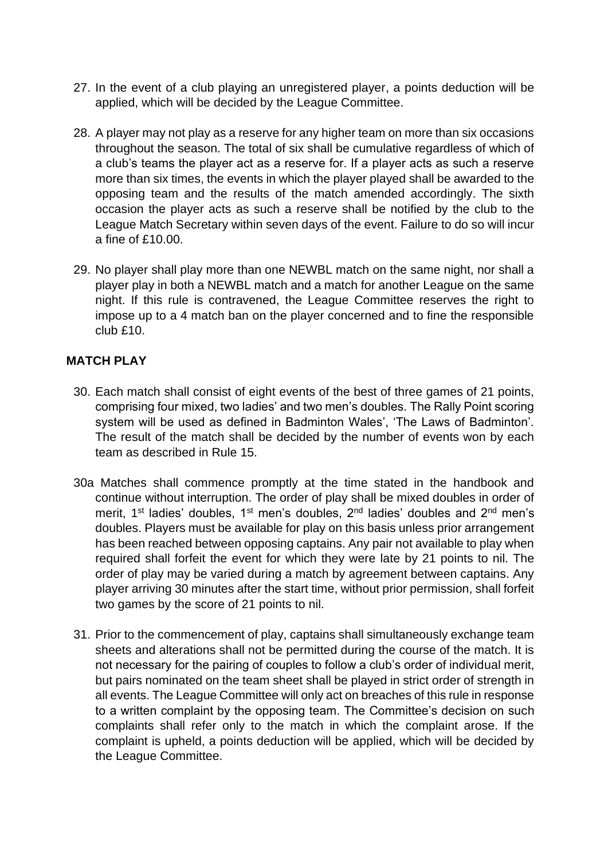- 27. In the event of a club playing an unregistered player, a points deduction will be applied, which will be decided by the League Committee.
- 28. A player may not play as a reserve for any higher team on more than six occasions throughout the season. The total of six shall be cumulative regardless of which of a club's teams the player act as a reserve for. If a player acts as such a reserve more than six times, the events in which the player played shall be awarded to the opposing team and the results of the match amended accordingly. The sixth occasion the player acts as such a reserve shall be notified by the club to the League Match Secretary within seven days of the event. Failure to do so will incur a fine of £10.00.
- 29. No player shall play more than one NEWBL match on the same night, nor shall a player play in both a NEWBL match and a match for another League on the same night. If this rule is contravened, the League Committee reserves the right to impose up to a 4 match ban on the player concerned and to fine the responsible club £10.

### **MATCH PLAY**

- 30. Each match shall consist of eight events of the best of three games of 21 points, comprising four mixed, two ladies' and two men's doubles. The Rally Point scoring system will be used as defined in Badminton Wales', 'The Laws of Badminton'. The result of the match shall be decided by the number of events won by each team as described in Rule 15.
- 30a Matches shall commence promptly at the time stated in the handbook and continue without interruption. The order of play shall be mixed doubles in order of merit, 1<sup>st</sup> ladies' doubles, 1<sup>st</sup> men's doubles, 2<sup>nd</sup> ladies' doubles and 2<sup>nd</sup> men's doubles. Players must be available for play on this basis unless prior arrangement has been reached between opposing captains. Any pair not available to play when required shall forfeit the event for which they were late by 21 points to nil. The order of play may be varied during a match by agreement between captains. Any player arriving 30 minutes after the start time, without prior permission, shall forfeit two games by the score of 21 points to nil.
- 31. Prior to the commencement of play, captains shall simultaneously exchange team sheets and alterations shall not be permitted during the course of the match. It is not necessary for the pairing of couples to follow a club's order of individual merit, but pairs nominated on the team sheet shall be played in strict order of strength in all events. The League Committee will only act on breaches of this rule in response to a written complaint by the opposing team. The Committee's decision on such complaints shall refer only to the match in which the complaint arose. If the complaint is upheld, a points deduction will be applied, which will be decided by the League Committee.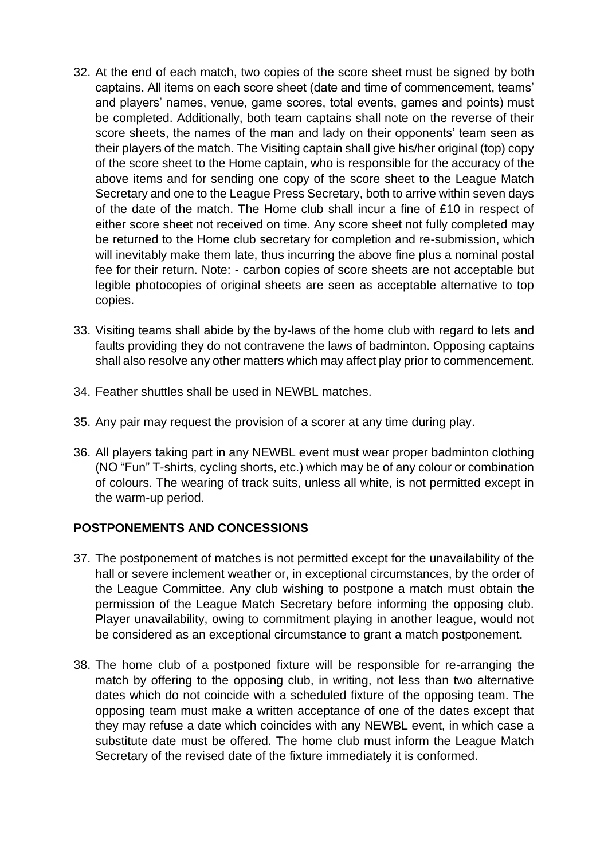- 32. At the end of each match, two copies of the score sheet must be signed by both captains. All items on each score sheet (date and time of commencement, teams' and players' names, venue, game scores, total events, games and points) must be completed. Additionally, both team captains shall note on the reverse of their score sheets, the names of the man and lady on their opponents' team seen as their players of the match. The Visiting captain shall give his/her original (top) copy of the score sheet to the Home captain, who is responsible for the accuracy of the above items and for sending one copy of the score sheet to the League Match Secretary and one to the League Press Secretary, both to arrive within seven days of the date of the match. The Home club shall incur a fine of £10 in respect of either score sheet not received on time. Any score sheet not fully completed may be returned to the Home club secretary for completion and re-submission, which will inevitably make them late, thus incurring the above fine plus a nominal postal fee for their return. Note: - carbon copies of score sheets are not acceptable but legible photocopies of original sheets are seen as acceptable alternative to top copies.
- 33. Visiting teams shall abide by the by-laws of the home club with regard to lets and faults providing they do not contravene the laws of badminton. Opposing captains shall also resolve any other matters which may affect play prior to commencement.
- 34. Feather shuttles shall be used in NEWBL matches.
- 35. Any pair may request the provision of a scorer at any time during play.
- 36. All players taking part in any NEWBL event must wear proper badminton clothing (NO "Fun" T-shirts, cycling shorts, etc.) which may be of any colour or combination of colours. The wearing of track suits, unless all white, is not permitted except in the warm-up period.

# **POSTPONEMENTS AND CONCESSIONS**

- 37. The postponement of matches is not permitted except for the unavailability of the hall or severe inclement weather or, in exceptional circumstances, by the order of the League Committee. Any club wishing to postpone a match must obtain the permission of the League Match Secretary before informing the opposing club. Player unavailability, owing to commitment playing in another league, would not be considered as an exceptional circumstance to grant a match postponement.
- 38. The home club of a postponed fixture will be responsible for re-arranging the match by offering to the opposing club, in writing, not less than two alternative dates which do not coincide with a scheduled fixture of the opposing team. The opposing team must make a written acceptance of one of the dates except that they may refuse a date which coincides with any NEWBL event, in which case a substitute date must be offered. The home club must inform the League Match Secretary of the revised date of the fixture immediately it is conformed.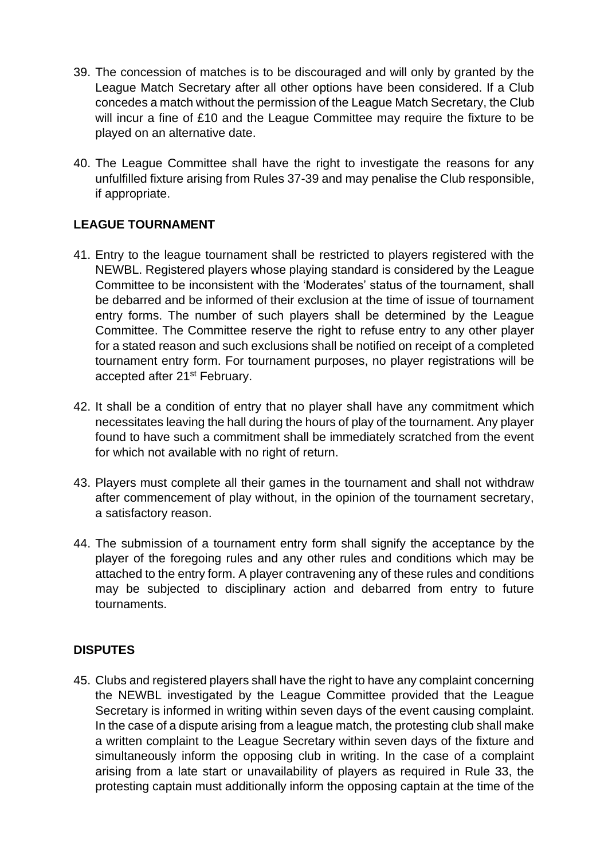- 39. The concession of matches is to be discouraged and will only by granted by the League Match Secretary after all other options have been considered. If a Club concedes a match without the permission of the League Match Secretary, the Club will incur a fine of £10 and the League Committee may require the fixture to be played on an alternative date.
- 40. The League Committee shall have the right to investigate the reasons for any unfulfilled fixture arising from Rules 37-39 and may penalise the Club responsible, if appropriate.

# **LEAGUE TOURNAMENT**

- 41. Entry to the league tournament shall be restricted to players registered with the NEWBL. Registered players whose playing standard is considered by the League Committee to be inconsistent with the 'Moderates' status of the tournament, shall be debarred and be informed of their exclusion at the time of issue of tournament entry forms. The number of such players shall be determined by the League Committee. The Committee reserve the right to refuse entry to any other player for a stated reason and such exclusions shall be notified on receipt of a completed tournament entry form. For tournament purposes, no player registrations will be accepted after 21<sup>st</sup> February.
- 42. It shall be a condition of entry that no player shall have any commitment which necessitates leaving the hall during the hours of play of the tournament. Any player found to have such a commitment shall be immediately scratched from the event for which not available with no right of return.
- 43. Players must complete all their games in the tournament and shall not withdraw after commencement of play without, in the opinion of the tournament secretary, a satisfactory reason.
- 44. The submission of a tournament entry form shall signify the acceptance by the player of the foregoing rules and any other rules and conditions which may be attached to the entry form. A player contravening any of these rules and conditions may be subjected to disciplinary action and debarred from entry to future tournaments.

# **DISPUTES**

45. Clubs and registered players shall have the right to have any complaint concerning the NEWBL investigated by the League Committee provided that the League Secretary is informed in writing within seven days of the event causing complaint. In the case of a dispute arising from a league match, the protesting club shall make a written complaint to the League Secretary within seven days of the fixture and simultaneously inform the opposing club in writing. In the case of a complaint arising from a late start or unavailability of players as required in Rule 33, the protesting captain must additionally inform the opposing captain at the time of the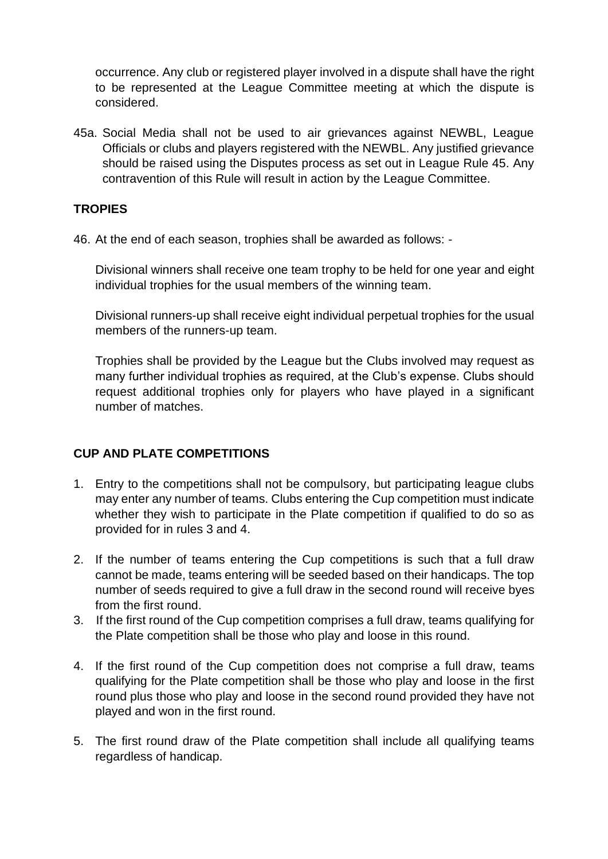occurrence. Any club or registered player involved in a dispute shall have the right to be represented at the League Committee meeting at which the dispute is considered.

45a. Social Media shall not be used to air grievances against NEWBL, League Officials or clubs and players registered with the NEWBL. Any justified grievance should be raised using the Disputes process as set out in League Rule 45. Any contravention of this Rule will result in action by the League Committee.

### **TROPIES**

46. At the end of each season, trophies shall be awarded as follows: -

Divisional winners shall receive one team trophy to be held for one year and eight individual trophies for the usual members of the winning team.

Divisional runners-up shall receive eight individual perpetual trophies for the usual members of the runners-up team.

Trophies shall be provided by the League but the Clubs involved may request as many further individual trophies as required, at the Club's expense. Clubs should request additional trophies only for players who have played in a significant number of matches.

# **CUP AND PLATE COMPETITIONS**

- 1. Entry to the competitions shall not be compulsory, but participating league clubs may enter any number of teams. Clubs entering the Cup competition must indicate whether they wish to participate in the Plate competition if qualified to do so as provided for in rules 3 and 4.
- 2. If the number of teams entering the Cup competitions is such that a full draw cannot be made, teams entering will be seeded based on their handicaps. The top number of seeds required to give a full draw in the second round will receive byes from the first round.
- 3. If the first round of the Cup competition comprises a full draw, teams qualifying for the Plate competition shall be those who play and loose in this round.
- 4. If the first round of the Cup competition does not comprise a full draw, teams qualifying for the Plate competition shall be those who play and loose in the first round plus those who play and loose in the second round provided they have not played and won in the first round.
- 5. The first round draw of the Plate competition shall include all qualifying teams regardless of handicap.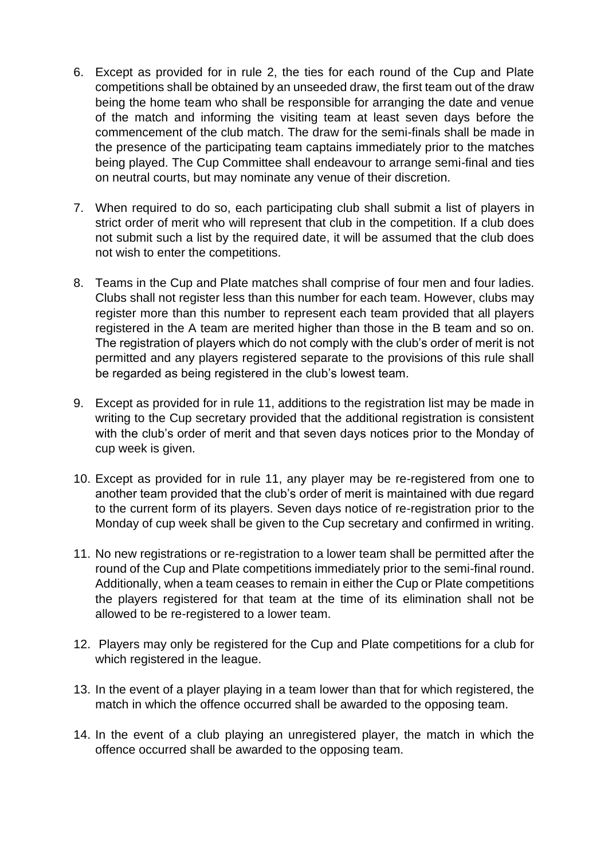- 6. Except as provided for in rule 2, the ties for each round of the Cup and Plate competitions shall be obtained by an unseeded draw, the first team out of the draw being the home team who shall be responsible for arranging the date and venue of the match and informing the visiting team at least seven days before the commencement of the club match. The draw for the semi-finals shall be made in the presence of the participating team captains immediately prior to the matches being played. The Cup Committee shall endeavour to arrange semi-final and ties on neutral courts, but may nominate any venue of their discretion.
- 7. When required to do so, each participating club shall submit a list of players in strict order of merit who will represent that club in the competition. If a club does not submit such a list by the required date, it will be assumed that the club does not wish to enter the competitions.
- 8. Teams in the Cup and Plate matches shall comprise of four men and four ladies. Clubs shall not register less than this number for each team. However, clubs may register more than this number to represent each team provided that all players registered in the A team are merited higher than those in the B team and so on. The registration of players which do not comply with the club's order of merit is not permitted and any players registered separate to the provisions of this rule shall be regarded as being registered in the club's lowest team.
- 9. Except as provided for in rule 11, additions to the registration list may be made in writing to the Cup secretary provided that the additional registration is consistent with the club's order of merit and that seven days notices prior to the Monday of cup week is given.
- 10. Except as provided for in rule 11, any player may be re-registered from one to another team provided that the club's order of merit is maintained with due regard to the current form of its players. Seven days notice of re-registration prior to the Monday of cup week shall be given to the Cup secretary and confirmed in writing.
- 11. No new registrations or re-registration to a lower team shall be permitted after the round of the Cup and Plate competitions immediately prior to the semi-final round. Additionally, when a team ceases to remain in either the Cup or Plate competitions the players registered for that team at the time of its elimination shall not be allowed to be re-registered to a lower team.
- 12. Players may only be registered for the Cup and Plate competitions for a club for which registered in the league.
- 13. In the event of a player playing in a team lower than that for which registered, the match in which the offence occurred shall be awarded to the opposing team.
- 14. In the event of a club playing an unregistered player, the match in which the offence occurred shall be awarded to the opposing team.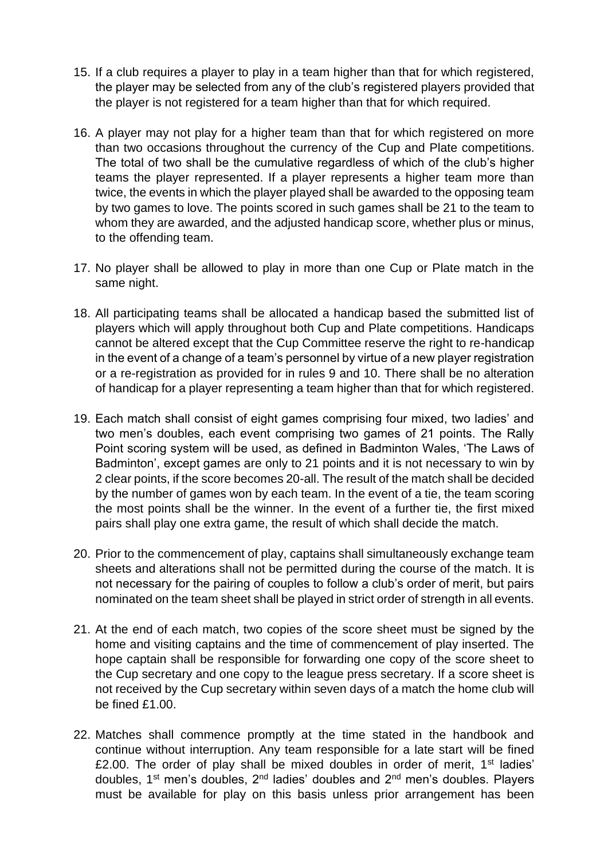- 15. If a club requires a player to play in a team higher than that for which registered, the player may be selected from any of the club's registered players provided that the player is not registered for a team higher than that for which required.
- 16. A player may not play for a higher team than that for which registered on more than two occasions throughout the currency of the Cup and Plate competitions. The total of two shall be the cumulative regardless of which of the club's higher teams the player represented. If a player represents a higher team more than twice, the events in which the player played shall be awarded to the opposing team by two games to love. The points scored in such games shall be 21 to the team to whom they are awarded, and the adjusted handicap score, whether plus or minus, to the offending team.
- 17. No player shall be allowed to play in more than one Cup or Plate match in the same night.
- 18. All participating teams shall be allocated a handicap based the submitted list of players which will apply throughout both Cup and Plate competitions. Handicaps cannot be altered except that the Cup Committee reserve the right to re-handicap in the event of a change of a team's personnel by virtue of a new player registration or a re-registration as provided for in rules 9 and 10. There shall be no alteration of handicap for a player representing a team higher than that for which registered.
- 19. Each match shall consist of eight games comprising four mixed, two ladies' and two men's doubles, each event comprising two games of 21 points. The Rally Point scoring system will be used, as defined in Badminton Wales, 'The Laws of Badminton', except games are only to 21 points and it is not necessary to win by 2 clear points, if the score becomes 20-all. The result of the match shall be decided by the number of games won by each team. In the event of a tie, the team scoring the most points shall be the winner. In the event of a further tie, the first mixed pairs shall play one extra game, the result of which shall decide the match.
- 20. Prior to the commencement of play, captains shall simultaneously exchange team sheets and alterations shall not be permitted during the course of the match. It is not necessary for the pairing of couples to follow a club's order of merit, but pairs nominated on the team sheet shall be played in strict order of strength in all events.
- 21. At the end of each match, two copies of the score sheet must be signed by the home and visiting captains and the time of commencement of play inserted. The hope captain shall be responsible for forwarding one copy of the score sheet to the Cup secretary and one copy to the league press secretary. If a score sheet is not received by the Cup secretary within seven days of a match the home club will be fined £1.00.
- 22. Matches shall commence promptly at the time stated in the handbook and continue without interruption. Any team responsible for a late start will be fined £2.00. The order of play shall be mixed doubles in order of merit,  $1<sup>st</sup>$  ladies' doubles, 1st men's doubles, 2nd ladies' doubles and 2nd men's doubles. Players must be available for play on this basis unless prior arrangement has been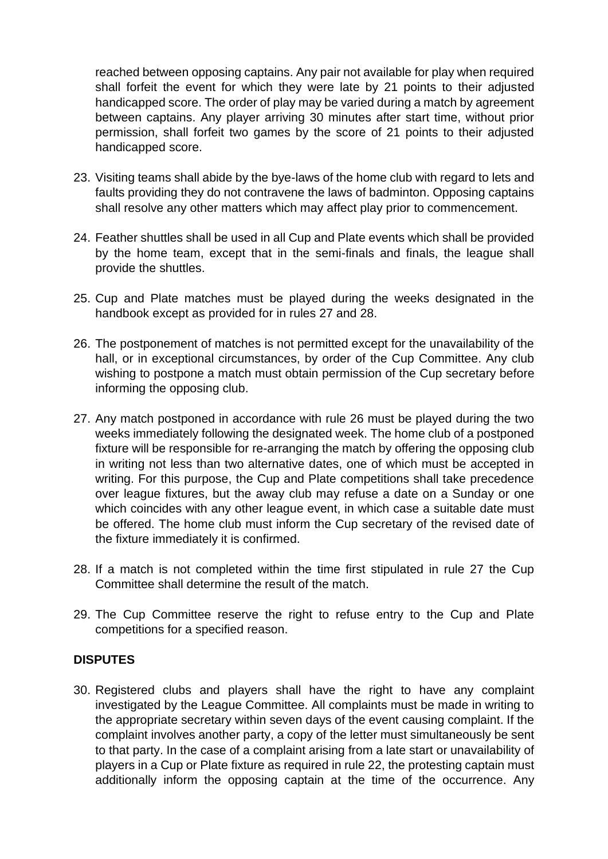reached between opposing captains. Any pair not available for play when required shall forfeit the event for which they were late by 21 points to their adjusted handicapped score. The order of play may be varied during a match by agreement between captains. Any player arriving 30 minutes after start time, without prior permission, shall forfeit two games by the score of 21 points to their adjusted handicapped score.

- 23. Visiting teams shall abide by the bye-laws of the home club with regard to lets and faults providing they do not contravene the laws of badminton. Opposing captains shall resolve any other matters which may affect play prior to commencement.
- 24. Feather shuttles shall be used in all Cup and Plate events which shall be provided by the home team, except that in the semi-finals and finals, the league shall provide the shuttles.
- 25. Cup and Plate matches must be played during the weeks designated in the handbook except as provided for in rules 27 and 28.
- 26. The postponement of matches is not permitted except for the unavailability of the hall, or in exceptional circumstances, by order of the Cup Committee. Any club wishing to postpone a match must obtain permission of the Cup secretary before informing the opposing club.
- 27. Any match postponed in accordance with rule 26 must be played during the two weeks immediately following the designated week. The home club of a postponed fixture will be responsible for re-arranging the match by offering the opposing club in writing not less than two alternative dates, one of which must be accepted in writing. For this purpose, the Cup and Plate competitions shall take precedence over league fixtures, but the away club may refuse a date on a Sunday or one which coincides with any other league event, in which case a suitable date must be offered. The home club must inform the Cup secretary of the revised date of the fixture immediately it is confirmed.
- 28. If a match is not completed within the time first stipulated in rule 27 the Cup Committee shall determine the result of the match.
- 29. The Cup Committee reserve the right to refuse entry to the Cup and Plate competitions for a specified reason.

#### **DISPUTES**

30. Registered clubs and players shall have the right to have any complaint investigated by the League Committee. All complaints must be made in writing to the appropriate secretary within seven days of the event causing complaint. If the complaint involves another party, a copy of the letter must simultaneously be sent to that party. In the case of a complaint arising from a late start or unavailability of players in a Cup or Plate fixture as required in rule 22, the protesting captain must additionally inform the opposing captain at the time of the occurrence. Any